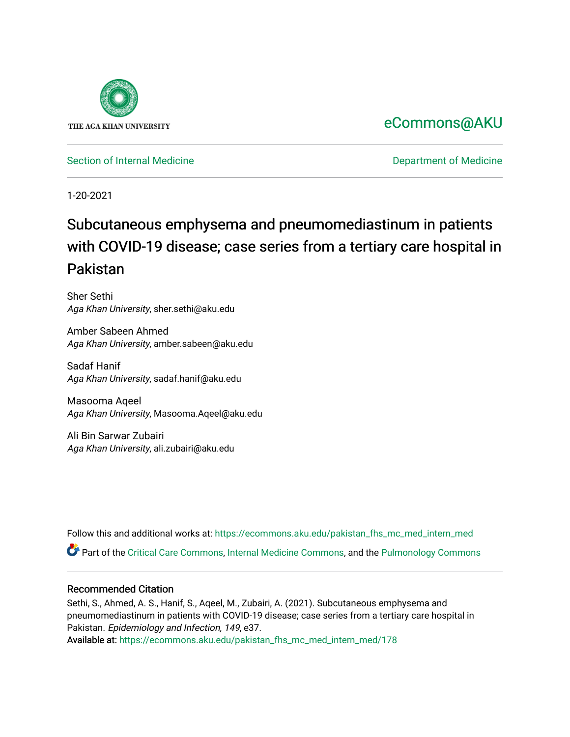

# [eCommons@AKU](https://ecommons.aku.edu/)

[Section of Internal Medicine](https://ecommons.aku.edu/pakistan_fhs_mc_med_intern_med) **Department of Medicine** Department of Medicine

1-20-2021

# Subcutaneous emphysema and pneumomediastinum in patients with COVID-19 disease; case series from a tertiary care hospital in Pakistan

Sher Sethi Aga Khan University, sher.sethi@aku.edu

Amber Sabeen Ahmed Aga Khan University, amber.sabeen@aku.edu

Sadaf Hanif Aga Khan University, sadaf.hanif@aku.edu

Masooma Aqeel Aga Khan University, Masooma.Aqeel@aku.edu

Ali Bin Sarwar Zubairi Aga Khan University, ali.zubairi@aku.edu

Follow this and additional works at: [https://ecommons.aku.edu/pakistan\\_fhs\\_mc\\_med\\_intern\\_med](https://ecommons.aku.edu/pakistan_fhs_mc_med_intern_med?utm_source=ecommons.aku.edu%2Fpakistan_fhs_mc_med_intern_med%2F178&utm_medium=PDF&utm_campaign=PDFCoverPages) 

Part of the [Critical Care Commons,](http://network.bepress.com/hgg/discipline/1226?utm_source=ecommons.aku.edu%2Fpakistan_fhs_mc_med_intern_med%2F178&utm_medium=PDF&utm_campaign=PDFCoverPages) [Internal Medicine Commons,](http://network.bepress.com/hgg/discipline/1356?utm_source=ecommons.aku.edu%2Fpakistan_fhs_mc_med_intern_med%2F178&utm_medium=PDF&utm_campaign=PDFCoverPages) and the [Pulmonology Commons](http://network.bepress.com/hgg/discipline/1363?utm_source=ecommons.aku.edu%2Fpakistan_fhs_mc_med_intern_med%2F178&utm_medium=PDF&utm_campaign=PDFCoverPages) 

# Recommended Citation

Sethi, S., Ahmed, A. S., Hanif, S., Aqeel, M., Zubairi, A. (2021). Subcutaneous emphysema and pneumomediastinum in patients with COVID-19 disease; case series from a tertiary care hospital in Pakistan. Epidemiology and Infection, 149, e37.

Available at: [https://ecommons.aku.edu/pakistan\\_fhs\\_mc\\_med\\_intern\\_med/178](https://ecommons.aku.edu/pakistan_fhs_mc_med_intern_med/178)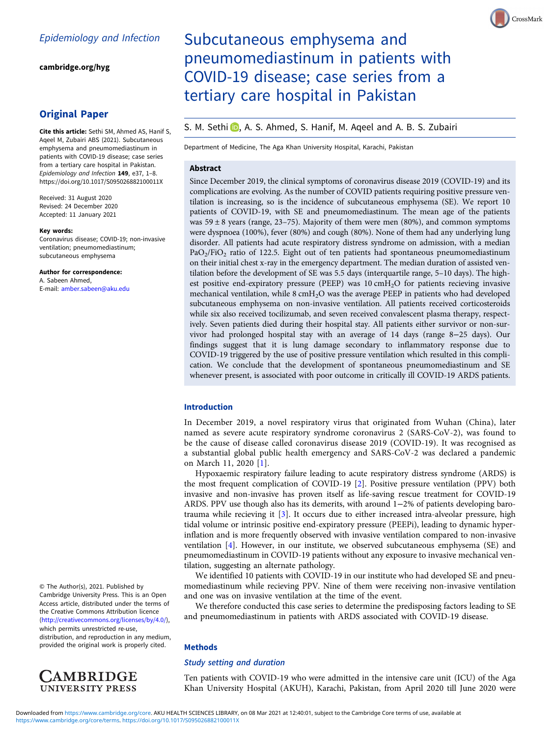[cambridge.org/hyg](https://www.cambridge.org/hyg)

# Original Paper

Cite this article: Sethi SM, Ahmed AS, Hanif S, Aqeel M, Zubairi ABS (2021). Subcutaneous emphysema and pneumomediastinum in patients with COVID-19 disease; case series from a tertiary care hospital in Pakistan. Epidemiology and Infection 149, e37, 1–8. <https://doi.org/10.1017/S095026882100011X>

Received: 31 August 2020 Revised: 24 December 2020 Accepted: 11 January 2021

#### Key words:

Coronavirus disease; COVID-19; non-invasive ventilation; pneumomediastinum; subcutaneous emphysema

Author for correspondence: A. Sabeen Ahmed, E-mail: [amber.sabeen@aku.edu](mailto:amber.sabeen@aku.edu)

© The Author(s), 2021. Published by Cambridge University Press. This is an Open Access article, distributed under the terms of the Creative Commons Attribution licence ([http://creativecommons.org/licenses/by/4.0/\)](http://creativecommons.org/licenses/by/4.0/),

which permits unrestricted re-use, distribution, and reproduction in any medium, provided the original work is properly cited.



# Subcutaneous emphysema and pneumomediastinum in patients with COVID-19 disease; case series from a tertiary care hospital in Pakistan

# S. M. Sethi D[,](https://orcid.org/0000-0001-7066-7124) A. S. Ahmed, S. Hanif, M. Ageel and A. B. S. Zubairi

Department of Medicine, The Aga Khan University Hospital, Karachi, Pakistan

# Abstract

Since December 2019, the clinical symptoms of coronavirus disease 2019 (COVID-19) and its complications are evolving. As the number of COVID patients requiring positive pressure ventilation is increasing, so is the incidence of subcutaneous emphysema (SE). We report 10 patients of COVID-19, with SE and pneumomediastinum. The mean age of the patients was  $59 \pm 8$  years (range, 23–75). Majority of them were men (80%), and common symptoms were dyspnoea (100%), fever (80%) and cough (80%). None of them had any underlying lung disorder. All patients had acute respiratory distress syndrome on admission, with a median  $PaO<sub>2</sub>/FiO<sub>2</sub>$  ratio of 122.5. Eight out of ten patients had spontaneous pneumomediastinum on their initial chest x-ray in the emergency department. The median duration of assisted ventilation before the development of SE was 5.5 days (interquartile range, 5–10 days). The highest positive end-expiratory pressure (PEEP) was  $10 \text{ cm}H_2O$  for patients recieving invasive mechanical ventilation, while 8 cmH<sub>2</sub>O was the average PEEP in patients who had developed subcutaneous emphysema on non-invasive ventilation. All patients received corticosteroids while six also received tocilizumab, and seven received convalescent plasma therapy, respectively. Seven patients died during their hospital stay. All patients either survivor or non-survivor had prolonged hospital stay with an average of 14 days (range 8−25 days). Our findings suggest that it is lung damage secondary to inflammatory response due to COVID-19 triggered by the use of positive pressure ventilation which resulted in this complication. We conclude that the development of spontaneous pneumomediastinum and SE whenever present, is associated with poor outcome in critically ill COVID-19 ARDS patients.

## Introduction

In December 2019, a novel respiratory virus that originated from Wuhan (China), later named as severe acute respiratory syndrome coronavirus 2 (SARS-CoV-2), was found to be the cause of disease called coronavirus disease 2019 (COVID-19). It was recognised as a substantial global public health emergency and SARS-CoV-2 was declared a pandemic on March 11, 2020 [[1\]](#page-8-0).

Hypoxaemic respiratory failure leading to acute respiratory distress syndrome (ARDS) is the most frequent complication of COVID-19 [\[2\]](#page-8-0). Positive pressure ventilation (PPV) both invasive and non-invasive has proven itself as life-saving rescue treatment for COVID-19 ARDS. PPV use though also has its demerits, with around 1−2% of patients developing barotrauma while recieving it [[3\]](#page-8-0). It occurs due to either increased intra-alveolar pressure, high tidal volume or intrinsic positive end-expiratory pressure (PEEPi), leading to dynamic hyperinflation and is more frequently observed with invasive ventilation compared to non-invasive ventilation [[4](#page-8-0)]. However, in our institute, we observed subcutaneous emphysema (SE) and pneumomediastinum in COVID-19 patients without any exposure to invasive mechanical ventilation, suggesting an alternate pathology.

We identified 10 patients with COVID-19 in our institute who had developed SE and pneumomediastinum while recieving PPV. Nine of them were receiving non-invasive ventilation and one was on invasive ventilation at the time of the event.

We therefore conducted this case series to determine the predisposing factors leading to SE and pneumomediastinum in patients with ARDS associated with COVID-19 disease.

#### **Methods**

## Study setting and duration

Ten patients with COVID-19 who were admitted in the intensive care unit (ICU) of the Aga Khan University Hospital (AKUH), Karachi, Pakistan, from April 2020 till June 2020 were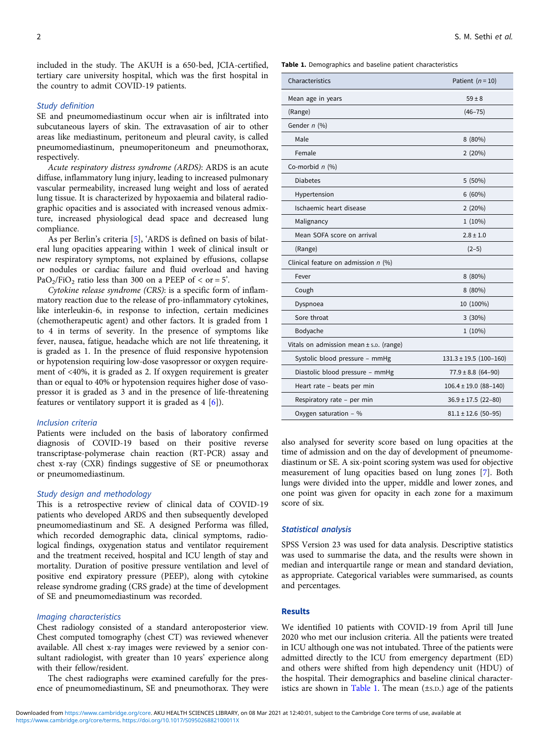included in the study. The AKUH is a 650-bed, JCIA-certified, tertiary care university hospital, which was the first hospital in the country to admit COVID-19 patients.

## Study definition

SE and pneumomediastinum occur when air is infiltrated into subcutaneous layers of skin. The extravasation of air to other areas like mediastinum, peritoneum and pleural cavity, is called pneumomediastinum, pneumoperitoneum and pneumothorax, respectively.

Acute respiratory distress syndrome (ARDS): ARDS is an acute diffuse, inflammatory lung injury, leading to increased pulmonary vascular permeability, increased lung weight and loss of aerated lung tissue. It is characterized by hypoxaemia and bilateral radiographic opacities and is associated with increased venous admixture, increased physiological dead space and decreased lung compliance.

As per Berlin's criteria [[5\]](#page-8-0), 'ARDS is defined on basis of bilateral lung opacities appearing within 1 week of clinical insult or new respiratory symptoms, not explained by effusions, collapse or nodules or cardiac failure and fluid overload and having PaO<sub>2</sub>/FiO<sub>2</sub> ratio less than 300 on a PEEP of  $\lt$  or = 5<sup>2</sup>.

Cytokine release syndrome (CRS): is a specific form of inflammatory reaction due to the release of pro-inflammatory cytokines, like interleukin-6, in response to infection, certain medicines (chemotherapeutic agent) and other factors. It is graded from 1 to 4 in terms of severity. In the presence of symptoms like fever, nausea, fatigue, headache which are not life threatening, it is graded as 1. In the presence of fluid responsive hypotension or hypotension requiring low-dose vasopressor or oxygen requirement of <40%, it is graded as 2. If oxygen requirement is greater than or equal to 40% or hypotension requires higher dose of vasopressor it is graded as 3 and in the presence of life-threatening features or ventilatory support it is graded as  $4 \cdot 6$  $4 \cdot 6$ .

#### Inclusion criteria

Patients were included on the basis of laboratory confirmed diagnosis of COVID-19 based on their positive reverse transcriptase-polymerase chain reaction (RT-PCR) assay and chest x-ray (CXR) findings suggestive of SE or pneumothorax or pneumomediastinum.

## Study design and methodology

This is a retrospective review of clinical data of COVID-19 patients who developed ARDS and then subsequently developed pneumomediastinum and SE. A designed Performa was filled, which recorded demographic data, clinical symptoms, radiological findings, oxygenation status and ventilator requirement and the treatment received, hospital and ICU length of stay and mortality. Duration of positive pressure ventilation and level of positive end expiratory pressure (PEEP), along with cytokine release syndrome grading (CRS grade) at the time of development of SE and pneumomediastinum was recorded.

#### Imaging characteristics

Chest radiology consisted of a standard anteroposterior view. Chest computed tomography (chest CT) was reviewed whenever available. All chest x-ray images were reviewed by a senior consultant radiologist, with greater than 10 years' experience along with their fellow/resident.

The chest radiographs were examined carefully for the presence of pneumomediastinum, SE and pneumothorax. They were

Table 1. Demographics and baseline patient characteristics

| Characteristics                             | Patient $(n = 10)$         |
|---------------------------------------------|----------------------------|
| Mean age in years                           | $59 \pm 8$                 |
| (Range)                                     | $(46 - 75)$                |
| Gender n (%)                                |                            |
| Male                                        | 8(80%)                     |
| Female                                      | 2(20%)                     |
| Co-morbid $n$ (%)                           |                            |
| <b>Diabetes</b>                             | 5(50%)                     |
| Hypertension                                | 6(60%)                     |
| Ischaemic heart disease                     | 2(20%)                     |
| Malignancy                                  | $1(10\%)$                  |
| Mean SOFA score on arrival                  | $2.8 \pm 1.0$              |
| (Range)                                     | $(2-5)$                    |
| Clinical feature on admission $n$ (%)       |                            |
| Fever                                       | 8(80%)                     |
| Cough                                       | 8 (80%)                    |
| Dyspnoea                                    | 10 (100%)                  |
| Sore throat                                 | 3(30%)                     |
| Bodyache                                    | $1(10\%)$                  |
| Vitals on admission mean $\pm$ s.p. (range) |                            |
| Systolic blood pressure - mmHg              | $131.3 \pm 19.5$ (100-160) |
| Diastolic blood pressure - mmHg             | $77.9 \pm 8.8$ (64-90)     |
| Heart rate - beats per min                  | $106.4 \pm 19.0$ (88-140)  |
| Respiratory rate - per min                  | $36.9 \pm 17.5$ (22-80)    |
| Oxygen saturation - %                       | $81.1 \pm 12.6$ (50-95)    |

also analysed for severity score based on lung opacities at the time of admission and on the day of development of pneumomediastinum or SE. A six-point scoring system was used for objective measurement of lung opacities based on lung zones [\[7\]](#page-8-0). Both lungs were divided into the upper, middle and lower zones, and one point was given for opacity in each zone for a maximum score of six.

#### Statistical analysis

SPSS Version 23 was used for data analysis. Descriptive statistics was used to summarise the data, and the results were shown in median and interquartile range or mean and standard deviation, as appropriate. Categorical variables were summarised, as counts and percentages.

#### Results

We identified 10 patients with COVID-19 from April till June 2020 who met our inclusion criteria. All the patients were treated in ICU although one was not intubated. Three of the patients were admitted directly to the ICU from emergency department (ED) and others were shifted from high dependency unit (HDU) of the hospital. Their demographics and baseline clinical characteristics are shown in Table 1. The mean (±S.D.) age of the patients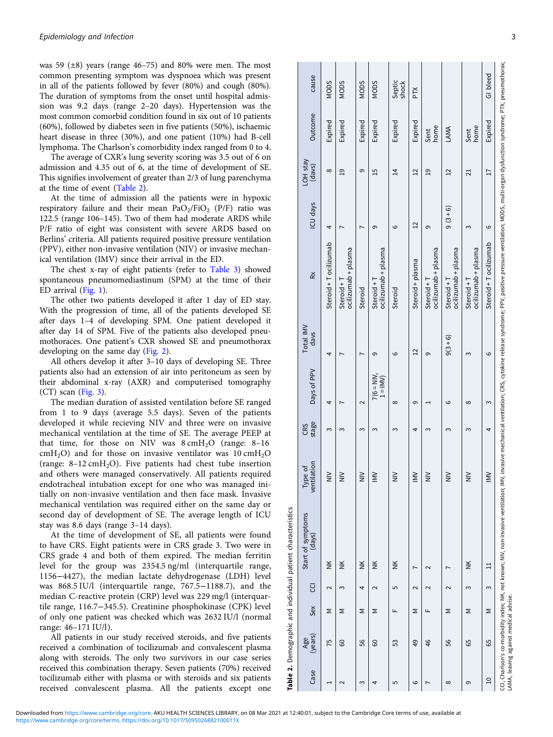<span id="page-3-0"></span>was 59 (±8) years (range 46–75) and 80% were men. The most common presenting symptom was dyspnoea which was present in all of the patients followed by fever (80%) and cough (80%). The duration of symptoms from the onset until hospital admission was 9.2 days (range 2–20 days). Hypertension was the most common comorbid condition found in six out of 10 patients (60%), followed by diabetes seen in five patients (50%), ischaemic heart disease in three (30%), and one patient (10%) had B-cell lymphoma. The Charlson's comorbidity index ranged from 0 to 4.

The average of CXR's lung severity scoring was 3.5 out of 6 on admission and 4.35 out of 6, at the time of development of SE. This signifies involvement of greater than 2/3 of lung parenchyma at the time of event (Table 2).

At the time of admission all the patients were in hypoxic respiratory failure and their mean  $PaO<sub>2</sub>/FiO<sub>2</sub>$  (P/F) ratio was 122.5 (range 106–145). Two of them had moderate ARDS while P/F ratio of eight was consistent with severe ARDS based on Berlins' criteria. All patients required positive pressure ventilation (PPV), either non-invasive ventilation (NIV) or invasive mechanical ventilation (IMV) since their arrival in the ED.

The chest x-ray of eight patients (refer to [Table 3](#page-4-0)) showed spontaneous pneumomediastinum (SPM) at the time of their ED arrival ([Fig. 1](#page-4-0)).

The other two patients developed it after 1 day of ED stay. With the progression of time, all of the patients developed SE after days 1–4 of developing SPM. One patient developed it after day 14 of SPM. Five of the patients also developed pneumothoraces. One patient's CXR showed SE and pneumothorax developing on the same day [\(Fig. 2\)](#page-4-0).

All others develop it after 3–10 days of developing SE. Three patients also had an extension of air into peritoneum as seen by their abdominal x-ray (AXR) and computerised tomography (CT) scan [\(Fig. 3](#page-5-0)).

The median duration of assisted ventilation before SE ranged from 1 to 9 days (average 5.5 days). Seven of the patients developed it while recieving NIV and three were on invasive mechanical ventilation at the time of SE. The average PEEP at that time, for those on NIV was  $8 \text{ cm}H_2O$  (range: 8-16 cmH<sub>2</sub>O) and for those on invasive ventilator was  $10 \text{ cmH}_2\text{O}$ (range:  $8-12 \text{ cm} + 12 \text{ cm}$ ). Five patients had chest tube insertion and others were managed conservatively. All patients required endotracheal intubation except for one who was managed initially on non-invasive ventilation and then face mask. Invasive mechanical ventilation was required either on the same day or second day of development of SE. The average length of ICU stay was 8.6 days (range 3–14 days).

At the time of development of SE, all patients were found to have CRS. Eight patients were in CRS grade 3. Two were in CRS grade 4 and both of them expired. The median ferritin level for the group was 2354.5 ng/ml (interquartile range, 1156−4427), the median lactate dehydrogenase (LDH) level was 868.5 IU/l (interquartile range, 767.5−1188.7), and the median C-reactive protein (CRP) level was 229 mg/l (interquartile range, 116.7−345.5). Creatinine phosphokinase (CPK) level of only one patient was checked which was 2632 IU/l (normal range: 46–171 IU/l).

All patients in our study received steroids, and five patients received a combination of tocilizumab and convalescent plasma along with steroids. The only two survivors in our case series received this combination therapy. Seven patients (70%) received tocilizumab either with plasma or with steroids and six patients received convalescent plasma. All the patients except one

|                       |                                    |     |                | Table 2. Demographic and individual patient characteristics                            |                            |              |                            |                   |                                                                                                                                                                 |                 |                    |              |                 |
|-----------------------|------------------------------------|-----|----------------|----------------------------------------------------------------------------------------|----------------------------|--------------|----------------------------|-------------------|-----------------------------------------------------------------------------------------------------------------------------------------------------------------|-----------------|--------------------|--------------|-----------------|
| Case                  | (years)<br>Age                     | Sex | $\overline{c}$ | Start of symptoms<br>(days)                                                            | Type of<br>ventilation     | stage<br>CRS | Days of PPV                | Total IMV<br>davs | $\tilde{R}$                                                                                                                                                     | ICU days        | LOH stay<br>(davs) | Outcome      | cause           |
| $\mathbf{\mathbf{I}}$ | 75                                 | Σ   | 2              | ž                                                                                      | $\widetilde{\overline{z}}$ | 3            | 4                          | 4                 | Steroid + T ocilizumab                                                                                                                                          | 4               | $\infty$           | Expired      | NODS            |
| 2                     | 60                                 | Σ   | Σ              | ž                                                                                      | $\widetilde{\equiv}$       |              |                            |                   | ocilizumab + plasma<br>Steroid $+T$                                                                                                                             |                 | $\overline{a}$     | Expired      | NODS            |
| Σ                     | 56                                 | Σ   | 4              | ž                                                                                      | Ξ                          | 3            | 2                          |                   | Steroid                                                                                                                                                         |                 | თ                  | Expired      | NODS            |
| 4                     | 60                                 | Σ   | 2              | š                                                                                      | ≦                          | 3            | $7(6 = NIV,$<br>$1 = INV)$ | 9                 | ocilizumab + plasma<br>Steroid $+T$                                                                                                                             | 9               | $\overline{15}$    | Expired      | NODS            |
| 5                     | 53                                 | Щ   | 5              | ž                                                                                      | $\widetilde{\equiv}$       | 3            | $\infty$                   | ဖ                 | Steroid                                                                                                                                                         | ဖ               | $\overline{4}$     | Expired      | Septic<br>shock |
| 6                     | 49                                 | Σ   | $\sim$         | r                                                                                      | $\geq$                     | 4            | ၜ                          | $\overline{12}$   | Steroid + plasma                                                                                                                                                | $\overline{12}$ | $\overline{1}$     | Expired      | PTX             |
| Ľ                     | 46                                 | щ   |                | $\sim$                                                                                 | $\widetilde{\mathsf{z}}$   | ო            |                            | თ                 | ocilizumab + plasma<br>$Steroid + T$                                                                                                                            | თ               | $\overline{a}$     | Sent<br>home |                 |
| ∞                     | 56                                 | Σ   | $\sim$         |                                                                                        | $\tilde{\equiv}$           | ω            | ဖ                          | $9(3+6)$          | ocilizumab + plasma<br>Steroid $+T$                                                                                                                             | $9(3+6)$        | $\overline{c}$     | LAMA         |                 |
| 6                     | 65                                 | Σ   | 3              | š                                                                                      | Ξ                          | ω            | $\infty$                   | ω                 | ocilizumab + plasma<br>Steroid + T                                                                                                                              | ω               | $\overline{21}$    | Sent<br>home |                 |
| $\overline{a}$        | 65                                 | Σ   | 3              | $\Xi$                                                                                  | $\geq$                     | 4            | 3                          | ဖ                 | Steroid + T ocilizumab                                                                                                                                          | ဖ               | $\overline{17}$    | Expired      | GI bleed        |
|                       | LAMA Logico considerational oddina |     |                | CCI, Charlson's co-morbidity index; NK, not known; NIV, non-invasive ventilation; IMV, |                            |              |                            |                   | invasive mechanical ventilation; CRS, cytokine release syndrome; PPV, positive pressure ventilation; MODS, multi-organ dysfunction syndrome; PTX, pneumothorax; |                 |                    |              |                 |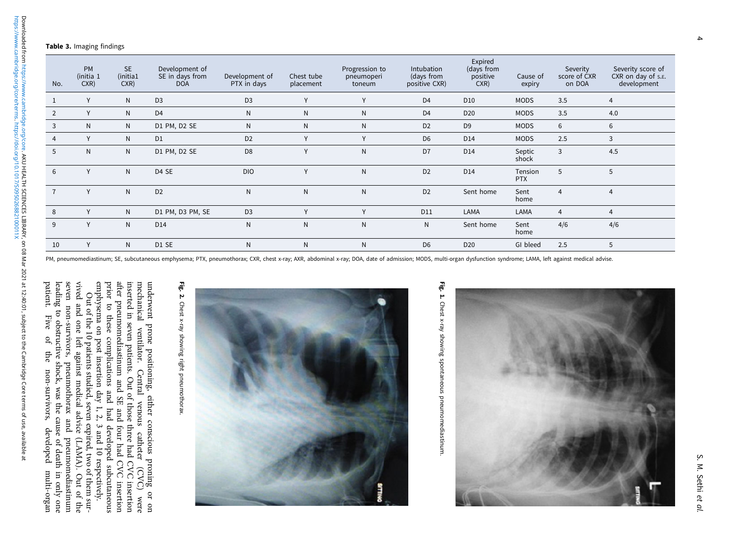#### <span id="page-4-0"></span>Table 3. Imaging findings

| No.            | <b>PM</b><br>(initia 1<br>CXR) | <b>SE</b><br>(initia1<br>CXR | Development of<br>SE in days from<br><b>DOA</b> | Development of<br>PTX in days | Chest tube<br>placement | Progression to<br>pneumoperi<br>toneum | Intubation<br>(days from<br>positive CXR) | Expired<br>(days from<br>positive<br>CXR) | Cause of<br>expiry    | Severity<br>score of CXR<br>on DOA | Severity score of<br>CXR on day of s.E.<br>development |
|----------------|--------------------------------|------------------------------|-------------------------------------------------|-------------------------------|-------------------------|----------------------------------------|-------------------------------------------|-------------------------------------------|-----------------------|------------------------------------|--------------------------------------------------------|
| $\mathbf{1}$   | Y                              | $\mathsf{N}$                 | D <sub>3</sub>                                  | D <sub>3</sub>                | Y                       | $\vee$                                 | D <sub>4</sub>                            | D <sub>10</sub>                           | <b>MODS</b>           | 3.5                                | $\overline{4}$                                         |
| $\overline{2}$ | Y                              | N                            | D <sub>4</sub>                                  | N                             | N                       | N                                      | D <sub>4</sub>                            | D <sub>20</sub>                           | <b>MODS</b>           | 3.5                                | 4.0                                                    |
| 3              | N <sub>1</sub>                 | $\mathsf{N}$                 | D1 PM, D2 SE                                    | N                             | N                       | N                                      | D <sub>2</sub>                            | D <sub>9</sub>                            | <b>MODS</b>           | 6                                  | 6                                                      |
| $\overline{4}$ | Y                              | N                            | D <sub>1</sub>                                  | D <sub>2</sub>                | Y                       | $\vee$                                 | D <sub>6</sub>                            | D14                                       | <b>MODS</b>           | 2.5                                | 3                                                      |
| 5              | $\mathsf{N}$                   | $\mathsf{N}$                 | D1 PM, D2 SE                                    | D <sub>8</sub>                | Y                       | $\mathsf{N}$                           | D <sub>7</sub>                            | D14                                       | Septic<br>shock       | 3                                  | 4.5                                                    |
| 6              | Y                              | $\mathsf{N}$                 | D4 SE                                           | <b>DIO</b>                    | Y                       | $\mathsf{N}$                           | D <sub>2</sub>                            | D14                                       | Tension<br><b>PTX</b> | 5                                  | 5                                                      |
| $\overline{7}$ | Y                              | $\mathsf{N}$                 | D <sub>2</sub>                                  | $\mathsf{N}$                  | $\mathsf{N}$            | $\mathsf{N}$                           | D <sub>2</sub>                            | Sent home                                 | Sent<br>home          | $\overline{4}$                     | $\overline{4}$                                         |
| 8              | Y                              | $\mathsf{N}$                 | D1 PM, D3 PM, SE                                | D <sub>3</sub>                | $\vee$                  | $\mathsf{v}$                           | D11                                       | LAMA                                      | LAMA                  | $\overline{4}$                     | $\overline{4}$                                         |
| 9              | Y                              | $\mathsf{N}$                 | D <sub>14</sub>                                 | N                             | $\mathsf{N}$            | $\mathsf{N}$                           | N                                         | Sent home                                 | Sent<br>home          | 4/6                                | 4/6                                                    |
| 10             | Y                              | N                            | D1 SE                                           | N                             | N                       | N                                      | D <sub>6</sub>                            | D <sub>20</sub>                           | GI bleed              | 2.5                                | 5                                                      |

PM, pneumomediastinum; SE, subcutaneous emphysema; PTX, pneumothorax; CXR, chest x-ray; AXR, abdominal x-ray; DOA, date of admission; MODS, multi-organ dysfunction syndrome; LAMA, left against medical advise.

emphysema on post insertion day 1, 2, 3 and 10 respectively. prior to these complications and had developed subcutaneous after pneumomediastinum and SE and four had CVC insertion inserted in seven patients. Out of those three had CVC insertion mechanical ventilator. Central venous catheter (CVC) were underwent prone positioning, either conscious proning or on

emphysema on post insertion day 1, 2, 3 and 10 respectively. prior to these complications and had developed subcutaneous after pneumomediastinum and SE and four had CVC insertion inserted in seven patients. Out of those three had CVC insertion underwent prone positioning, either conscious proning or on mechanical ventilator. Central venous catheter (CVC) were

Out of the 10 patients studied, seven expired, two of them sur-

Out of the 10 patients studied, seven expired, two of them sur-

patient. Five of the non-survivors, developed multi-organ leading to obstructive shock, was the cause of death in only one seven non-survivors, pneumothorax and pneumomediastinum vived and one left against medical advice (LAMA). Out of the

the non-survivors, developed multi-organ

seven non-survivors, pneumothorax and pneumonnediastinum<br>leading to obstructive shock, was the cause of death in only one vived and one left against medical advice (LAMA). Out of the

patient.

Five  $\mathfrak{g}$ 



Fig. 1. Chest x-ray showing spontaneous pneumomediastinum Chest x-ray showing spontaneous pneumomediastinum.



S. M. Sethi

et al.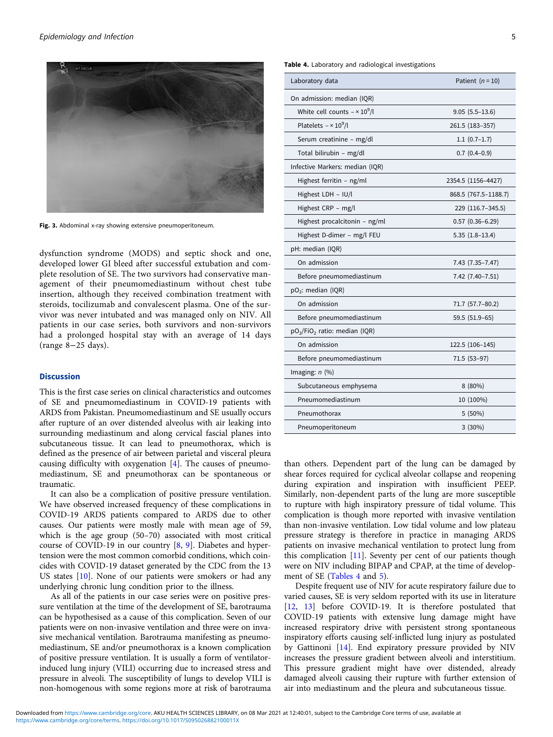<span id="page-5-0"></span>

Fig. 3. Abdominal x-ray showing extensive pneumoperitoneum.

dysfunction syndrome (MODS) and septic shock and one, developed lower GI bleed after successful extubation and complete resolution of SE. The two survivors had conservative management of their pneumomediastinum without chest tube insertion, although they received combination treatment with steroids, tocilizumab and convalescent plasma. One of the survivor was never intubated and was managed only on NIV. All patients in our case series, both survivors and non-survivors had a prolonged hospital stay with an average of 14 days (range 8−25 days).

## Discussion

This is the first case series on clinical characteristics and outcomes of SE and pneumomediastinum in COVID-19 patients with ARDS from Pakistan. Pneumomediastinum and SE usually occurs after rupture of an over distended alveolus with air leaking into surrounding mediastinum and along cervical fascial planes into subcutaneous tissue. It can lead to pneumothorax, which is defined as the presence of air between parietal and visceral pleura causing difficulty with oxygenation [\[4\]](#page-8-0). The causes of pneumomediastinum, SE and pneumothorax can be spontaneous or traumatic.

It can also be a complication of positive pressure ventilation. We have observed increased frequency of these complications in COVID-19 ARDS patients compared to ARDS due to other causes. Our patients were mostly male with mean age of 59, which is the age group (50–70) associated with most critical course of COVID-19 in our country [\[8,](#page-8-0) [9\]](#page-8-0). Diabetes and hypertension were the most common comorbid conditions, which coincides with COVID-19 dataset generated by the CDC from the 13 US states [[10\]](#page-8-0). None of our patients were smokers or had any underlying chronic lung condition prior to the illness.

As all of the patients in our case series were on positive pressure ventilation at the time of the development of SE, barotrauma can be hypothesised as a cause of this complication. Seven of our patients were on non-invasive ventilation and three were on invasive mechanical ventilation. Barotrauma manifesting as pneumomediastinum, SE and/or pneumothorax is a known complication of positive pressure ventilation. It is usually a form of ventilatorinduced lung injury (VILI) occurring due to increased stress and pressure in alveoli. The susceptibility of lungs to develop VILI is non-homogenous with some regions more at risk of barotrauma

|  |  |  | Table 4. Laboratory and radiological investigations |
|--|--|--|-----------------------------------------------------|
|  |  |  |                                                     |

| Laboratory data                                       | Patient $(n = 10)$     |
|-------------------------------------------------------|------------------------|
| On admission: median (IQR)                            |                        |
| White cell counts $- \times 10^9/l$                   | $9.05(5.5-13.6)$       |
| Platelets $- \times 10^9/l$                           | 261.5 (183-357)        |
| Serum creatinine - mg/dl                              | $1.1(0.7-1.7)$         |
| Total bilirubin - mg/dl                               | $0.7(0.4-0.9)$         |
| Infective Markers: median (IQR)                       |                        |
| Highest ferritin - ng/ml                              | 2354.5 (1156–4427)     |
| Highest LDH - IU/l                                    | 868.5 (767.5-1188.7)   |
| Highest CRP - mg/l                                    | 229 (116.7-345.5)      |
| Highest procalcitonin - ng/ml                         | $0.57$ $(0.36 - 6.29)$ |
| Highest D-dimer - mg/l FEU                            | $5.35(1.8-13.4)$       |
| pH: median (IQR)                                      |                        |
| On admission                                          | 7.43 (7.35-7.47)       |
| Before pneumomediastinum                              | 7.42 (7.40-7.51)       |
| $pO2$ : median (IQR)                                  |                        |
| On admission                                          | 71.7 (57.7-80.2)       |
| Before pneumomediastinum                              | 59.5 (51.9-65)         |
| pO <sub>2</sub> /FiO <sub>2</sub> ratio: median (IQR) |                        |
| On admission                                          | 122.5 (106-145)        |
| Before pneumomediastinum                              | 71.5 (53–97)           |
| Imaging: $n$ (%)                                      |                        |
| Subcutaneous emphysema                                | 8 (80%)                |
| Pneumomediastinum                                     | 10 (100%)              |
| Pneumothorax                                          | 5 (50%)                |
| Pneumoperitoneum                                      | $3(30\%)$              |

than others. Dependent part of the lung can be damaged by shear forces required for cyclical alveolar collapse and reopening during expiration and inspiration with insufficient PEEP. Similarly, non-dependent parts of the lung are more susceptible to rupture with high inspiratory pressure of tidal volume. This complication is though more reported with invasive ventilation than non-invasive ventilation. Low tidal volume and low plateau pressure strategy is therefore in practice in managing ARDS patients on invasive mechanical ventilation to protect lung from this complication [\[11](#page-8-0)]. Seventy per cent of our patients though were on NIV including BIPAP and CPAP, at the time of development of SE (Tables 4 and [5](#page-6-0)).

Despite frequent use of NIV for acute respiratory failure due to varied causes, SE is very seldom reported with its use in literature [\[12,](#page-8-0) [13\]](#page-8-0) before COVID-19. It is therefore postulated that COVID-19 patients with extensive lung damage might have increased respiratory drive with persistent strong spontaneous inspiratory efforts causing self-inflicted lung injury as postulated by Gattinoni [[14\]](#page-8-0). End expiratory pressure provided by NIV increases the pressure gradient between alveoli and interstitium. This pressure gradient might have over distended, already damaged alveoli causing their rupture with further extension of air into mediastinum and the pleura and subcutaneous tissue.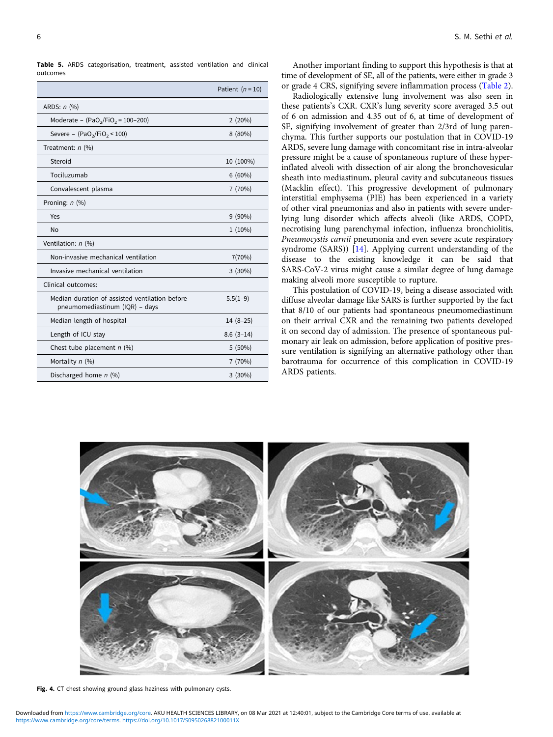<span id="page-6-0"></span>Table 5. ARDS categorisation, treatment, assisted ventilation and clinical outcomes

|                                                                                  | Patient $(n = 10)$ |
|----------------------------------------------------------------------------------|--------------------|
| ARDS: $n$ (%)                                                                    |                    |
| Moderate - $(PaO2/FiO2 = 100-200)$                                               | 2(20%)             |
| Severe - $(PaO2/FiO2 < 100)$                                                     | 8 (80%)            |
| Treatment: $n$ (%)                                                               |                    |
| Steroid                                                                          | 10 (100%)          |
| Tociluzumab                                                                      | $6(60\%)$          |
| Convalescent plasma                                                              | 7 (70%)            |
| Proning: $n$ (%)                                                                 |                    |
| Yes                                                                              | $9(90\%)$          |
| <b>No</b>                                                                        | $1(10\%)$          |
| Ventilation: n (%)                                                               |                    |
| Non-invasive mechanical ventilation                                              | 7(70%)             |
| Invasive mechanical ventilation                                                  | $3(30\%)$          |
| Clinical outcomes:                                                               |                    |
| Median duration of assisted ventilation before<br>pneumomediastinum (IQR) - days | $5.5(1-9)$         |
| Median length of hospital                                                        | $14(8-25)$         |
| Length of ICU stay                                                               | $8.6(3-14)$        |
| Chest tube placement $n$ (%)                                                     | 5(50%)             |
| Mortality $n$ (%)                                                                | 7(70%)             |
| Discharged home $n$ (%)                                                          | 3(30%)             |

Another important finding to support this hypothesis is that at time of development of SE, all of the patients, were either in grade 3 or grade 4 CRS, signifying severe inflammation process [\(Table 2](#page-3-0)).

Radiologically extensive lung involvement was also seen in these patients's CXR. CXR's lung severity score averaged 3.5 out of 6 on admission and 4.35 out of 6, at time of development of SE, signifying involvement of greater than 2/3rd of lung parenchyma. This further supports our postulation that in COVID-19 ARDS, severe lung damage with concomitant rise in intra-alveolar pressure might be a cause of spontaneous rupture of these hyperinflated alveoli with dissection of air along the bronchovesicular sheath into mediastinum, pleural cavity and subcutaneous tissues (Macklin effect). This progressive development of pulmonary interstitial emphysema (PIE) has been experienced in a variety of other viral pneumonias and also in patients with severe underlying lung disorder which affects alveoli (like ARDS, COPD, necrotising lung parenchymal infection, influenza bronchiolitis, Pneumocystis carnii pneumonia and even severe acute respiratory syndrome (SARS)) [[14\]](#page-8-0). Applying current understanding of the disease to the existing knowledge it can be said that SARS-CoV-2 virus might cause a similar degree of lung damage making alveoli more susceptible to rupture.

This postulation of COVID-19, being a disease associated with diffuse alveolar damage like SARS is further supported by the fact that 8/10 of our patients had spontaneous pneumomediastinum on their arrival CXR and the remaining two patients developed it on second day of admission. The presence of spontaneous pulmonary air leak on admission, before application of positive pressure ventilation is signifying an alternative pathology other than barotrauma for occurrence of this complication in COVID-19 ARDS patients.



Fig. 4. CT chest showing ground glass haziness with pulmonary cysts.

[https://www.cambridge.org/core/terms.](https://www.cambridge.org/core/terms) <https://doi.org/10.1017/S095026882100011X> Downloaded from [https://www.cambridge.org/core.](https://www.cambridge.org/core) AKU HEALTH SCIENCES LIBRARY, on 08 Mar 2021 at 12:40:01, subject to the Cambridge Core terms of use, available at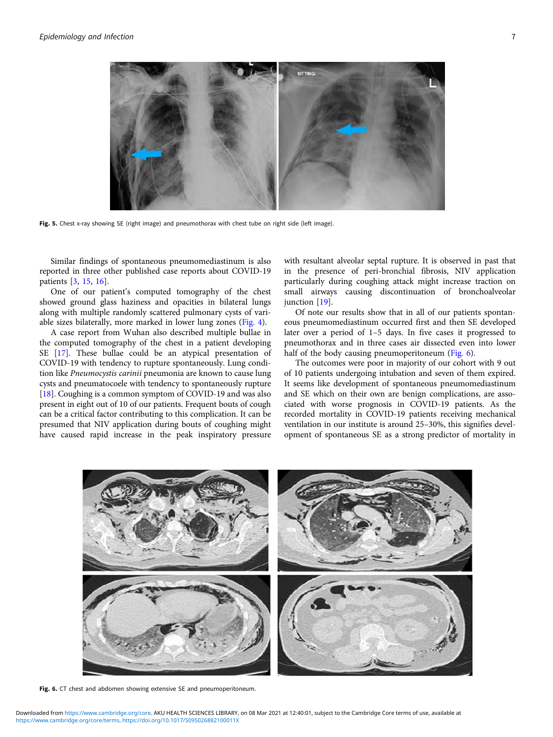

Fig. 5. Chest x-ray showing SE (right image) and pneumothorax with chest tube on right side (left image).

Similar findings of spontaneous pneumomediastinum is also reported in three other published case reports about COVID-19 patients [[3](#page-8-0), [15,](#page-8-0) [16\]](#page-8-0).

One of our patient's computed tomography of the chest showed ground glass haziness and opacities in bilateral lungs along with multiple randomly scattered pulmonary cysts of variable sizes bilaterally, more marked in lower lung zones ([Fig. 4](#page-6-0)).

A case report from Wuhan also described multiple bullae in the computed tomography of the chest in a patient developing SE [[17\]](#page-8-0). These bullae could be an atypical presentation of COVID-19 with tendency to rupture spontaneously. Lung condition like Pneumocystis carinii pneumonia are known to cause lung cysts and pneumatocoele with tendency to spontaneously rupture [[18\]](#page-8-0). Coughing is a common symptom of COVID-19 and was also present in eight out of 10 of our patients. Frequent bouts of cough can be a critical factor contributing to this complication. It can be presumed that NIV application during bouts of coughing might have caused rapid increase in the peak inspiratory pressure

with resultant alveolar septal rupture. It is observed in past that in the presence of peri-bronchial fibrosis, NIV application particularly during coughing attack might increase traction on small airways causing discontinuation of bronchoalveolar junction [\[19](#page-8-0)].

Of note our results show that in all of our patients spontaneous pneumomediastinum occurred first and then SE developed later over a period of 1–5 days. In five cases it progressed to pneumothorax and in three cases air dissected even into lower half of the body causing pneumoperitoneum (Fig. 6).

The outcomes were poor in majority of our cohort with 9 out of 10 patients undergoing intubation and seven of them expired. It seems like development of spontaneous pneumomediastinum and SE which on their own are benign complications, are associated with worse prognosis in COVID-19 patients. As the recorded mortality in COVID-19 patients receiving mechanical ventilation in our institute is around 25–30%, this signifies development of spontaneous SE as a strong predictor of mortality in



Fig. 6. CT chest and abdomen showing extensive SE and pneumoperitoneum.